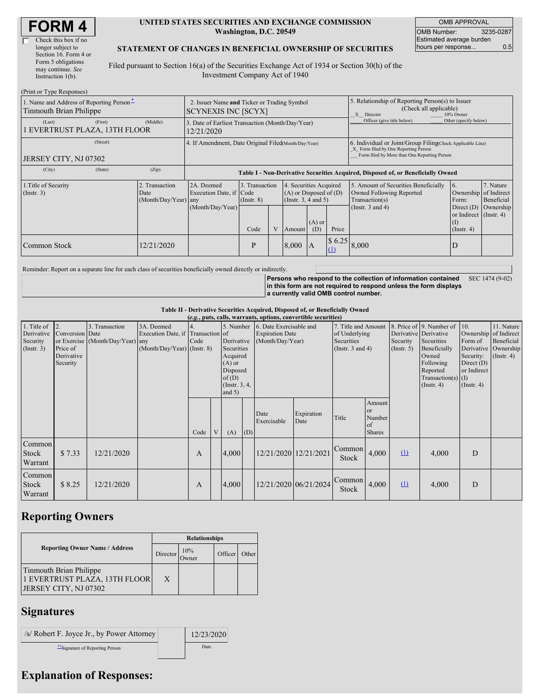| Check this box if no  |
|-----------------------|
| longer subject to     |
| Section 16. Form 4 or |
| Form 5 obligations    |
| may continue. See     |
| Instruction $1(b)$ .  |
|                       |

#### **UNITED STATES SECURITIES AND EXCHANGE COMMISSION Washington, D.C. 20549**

OMB APPROVAL OMB Number: 3235-0287 Estimated average burden hours per response... 0.5

### **STATEMENT OF CHANGES IN BENEFICIAL OWNERSHIP OF SECURITIES**

Filed pursuant to Section 16(a) of the Securities Exchange Act of 1934 or Section 30(h) of the Investment Company Act of 1940

| (Print or Type Responses)                                           |                                                                                                                                                                                                              |                                                                                  |      |   |        |                                                                                                                                                       |                                                                                                       |                                                                                                                                                    |                                                            |           |  |
|---------------------------------------------------------------------|--------------------------------------------------------------------------------------------------------------------------------------------------------------------------------------------------------------|----------------------------------------------------------------------------------|------|---|--------|-------------------------------------------------------------------------------------------------------------------------------------------------------|-------------------------------------------------------------------------------------------------------|----------------------------------------------------------------------------------------------------------------------------------------------------|------------------------------------------------------------|-----------|--|
| 1. Name and Address of Reporting Person-<br>Tinmouth Brian Philippe | 2. Issuer Name and Ticker or Trading Symbol<br><b>SCYNEXIS INC [SCYX]</b>                                                                                                                                    |                                                                                  |      |   |        |                                                                                                                                                       | 5. Relationship of Reporting Person(s) to Issuer<br>(Check all applicable)<br>X Director<br>10% Owner |                                                                                                                                                    |                                                            |           |  |
| (Last)<br>(First)<br>EVERTRUST PLAZA, 13TH FLOOR                    | (Middle)                                                                                                                                                                                                     | 3. Date of Earliest Transaction (Month/Day/Year)<br>12/21/2020                   |      |   |        |                                                                                                                                                       | Officer (give title below)                                                                            | Other (specify below)                                                                                                                              |                                                            |           |  |
| (Street)<br>JERSEY CITY, NJ 07302                                   |                                                                                                                                                                                                              | 4. If Amendment, Date Original Filed Month/Day/Year)                             |      |   |        |                                                                                                                                                       |                                                                                                       | 6. Individual or Joint/Group Filing(Check Applicable Line)<br>X Form filed by One Reporting Person<br>Form filed by More than One Reporting Person |                                                            |           |  |
| (State)<br>(City)                                                   | (Zip)                                                                                                                                                                                                        | Table I - Non-Derivative Securities Acquired, Disposed of, or Beneficially Owned |      |   |        |                                                                                                                                                       |                                                                                                       |                                                                                                                                                    |                                                            |           |  |
| 1. Title of Security<br>$($ Instr. 3 $)$                            | 3. Transaction<br>2A. Deemed<br>4. Securities Acquired<br>2. Transaction<br>$(A)$ or Disposed of $(D)$<br>Execution Date, if Code<br>Date<br>(Insert. 3, 4 and 5)<br>(Month/Day/Year) any<br>$($ Instr. $8)$ |                                                                                  |      |   |        | 5. Amount of Securities Beneficially<br>6.<br>7. Nature<br>Owned Following Reported<br>Ownership of Indirect<br>Transaction(s)<br>Beneficial<br>Form: |                                                                                                       |                                                                                                                                                    |                                                            |           |  |
|                                                                     |                                                                                                                                                                                                              | (Month/Day/Year)                                                                 | Code | V | Amount | $(A)$ or<br>(D)                                                                                                                                       | Price                                                                                                 | (Instr. $3$ and $4$ )                                                                                                                              | Direct $(D)$<br>or Indirect (Instr. 4)<br>$($ Instr. 4 $)$ | Ownership |  |
| Common Stock                                                        | 12/21/2020                                                                                                                                                                                                   |                                                                                  | P    |   | 8,000  | $\mathsf{A}$                                                                                                                                          | \$6.25<br>(1)                                                                                         | 8,000                                                                                                                                              | D                                                          |           |  |

Reminder: Report on a separate line for each class of securities beneficially owned directly or indirectly.

**Persons who respond to the collection of information contained in this form are not required to respond unless the form displays a currently valid OMB control number.** SEC 1474 (9-02)

**Table II - Derivative Securities Acquired, Disposed of, or Beneficially Owned**

| (e.g., puts, calls, warrants, options, convertible securities) |                                                                          |                                                    |                                                                                |                          |   |                                                                                                                   |     |                                                                       |                       |                                                                             |                                                          |                                                  |                                                                                                                                      |                                                                                                         |                                                                      |
|----------------------------------------------------------------|--------------------------------------------------------------------------|----------------------------------------------------|--------------------------------------------------------------------------------|--------------------------|---|-------------------------------------------------------------------------------------------------------------------|-----|-----------------------------------------------------------------------|-----------------------|-----------------------------------------------------------------------------|----------------------------------------------------------|--------------------------------------------------|--------------------------------------------------------------------------------------------------------------------------------------|---------------------------------------------------------------------------------------------------------|----------------------------------------------------------------------|
| 1. Title of<br>Derivative<br>Security<br>$($ Instr. 3 $)$      | $\overline{12}$<br>Conversion Date<br>Price of<br>Derivative<br>Security | 3. Transaction<br>or Exercise (Month/Day/Year) any | 3A. Deemed<br>Execution Date, if Transaction of<br>(Month/Day/Year) (Instr. 8) | $\overline{4}$ .<br>Code |   | 5. Number<br>Derivative<br>Securities<br>Acquired<br>$(A)$ or<br>Disposed<br>of(D)<br>(Instr. $3, 4,$<br>and $5)$ |     | 6. Date Exercisable and<br><b>Expiration Date</b><br>(Month/Day/Year) |                       | 7. Title and Amount<br>of Underlying<br>Securities<br>(Instr. $3$ and $4$ ) |                                                          | Derivative Derivative<br>Security<br>(Insert. 5) | 8. Price of 9. Number of<br>Securities<br>Beneficially<br>Owned<br>Following<br>Reported<br>Transaction(s) $(I)$<br>$($ Instr. 4 $)$ | 10.<br>Ownership of Indirect<br>Form of<br>Security:<br>Direct $(D)$<br>or Indirect<br>$($ Instr. 4 $)$ | 11. Nature<br>Beneficial<br>Derivative Ownership<br>$($ Instr. 4 $)$ |
|                                                                |                                                                          |                                                    |                                                                                | Code                     | V | (A)                                                                                                               | (D) | Date<br>Exercisable                                                   | Expiration<br>Date    | Title                                                                       | Amount<br><sub>or</sub><br>Number<br>of<br><b>Shares</b> |                                                  |                                                                                                                                      |                                                                                                         |                                                                      |
| Common<br>Stock<br>Warrant                                     | \$7.33                                                                   | 12/21/2020                                         |                                                                                | A                        |   | 4.000                                                                                                             |     | 12/21/2020 12/21/2021                                                 |                       | Common<br>Stock                                                             | 4,000                                                    | $\Omega$                                         | 4,000                                                                                                                                | D                                                                                                       |                                                                      |
| Common<br>Stock<br>Warrant                                     | \$8.25                                                                   | 12/21/2020                                         |                                                                                | A                        |   | 4.000                                                                                                             |     |                                                                       | 12/21/2020 06/21/2024 | Common<br><b>Stock</b>                                                      | 4,000                                                    | $\Omega$                                         | 4,000                                                                                                                                | D                                                                                                       |                                                                      |

# **Reporting Owners**

|                                                                                   | <b>Relationships</b> |                     |         |       |  |  |  |  |
|-----------------------------------------------------------------------------------|----------------------|---------------------|---------|-------|--|--|--|--|
| <b>Reporting Owner Name / Address</b>                                             | Director             | 10%<br><b>Twner</b> | Officer | Other |  |  |  |  |
| Tinmouth Brian Philippe<br>1 EVERTRUST PLAZA, 13TH FLOOR<br>JERSEY CITY, NJ 07302 | X                    |                     |         |       |  |  |  |  |

## **Signatures**

| $\vert$ /s/ Robert F. Joyce Jr., by Power Attorney | 12/23/2020 |
|----------------------------------------------------|------------|
| Signature of Reporting Person                      | Date       |

a sa T

## **Explanation of Responses:**